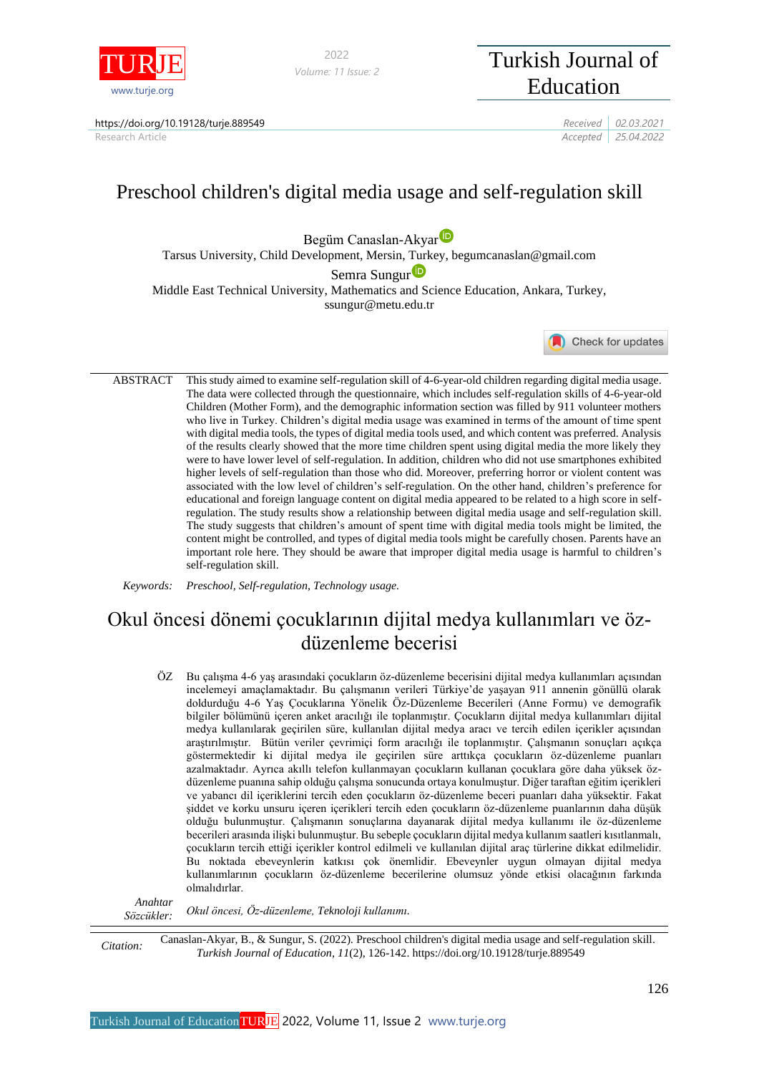

*Volume: 11 Issue: 2*

# <sup>2022</sup> Turkish Journal of Education

https://doi.org/10.19128/turje.889549 *Received 02.03.2021*

Research Article *Accepted 25.04.2022*

# Preschool children's digital media usage and self-regulation skill

Begüm Canaslan-Akya[r](https://orcid.org/0000-0002-9032-6631)

Tarsus University, Child Development, Mersin, Turkey, begumcanaslan@gmail.com

Sem[r](https://orcid.org/0000-0002-3372-6495)a Sungur<sup>D</sup>

Middle East Technical University, Mathematics and Science Education, Ankara, Turkey, ssungur@metu.edu.tr

Check for updates

ABSTRACT This study aimed to examine self-regulation skill of 4-6-year-old children regarding digital media usage. The data were collected through the questionnaire, which includes self-regulation skills of 4-6-year-old Children (Mother Form), and the demographic information section was filled by 911 volunteer mothers who live in Turkey. Children's digital media usage was examined in terms of the amount of time spent with digital media tools, the types of digital media tools used, and which content was preferred. Analysis of the results clearly showed that the more time children spent using digital media the more likely they were to have lower level of self-regulation. In addition, children who did not use smartphones exhibited higher levels of self-regulation than those who did. Moreover, preferring horror or violent content was associated with the low level of children's self-regulation. On the other hand, children's preference for educational and foreign language content on digital media appeared to be related to a high score in selfregulation. The study results show a relationship between digital media usage and self-regulation skill. The study suggests that children's amount of spent time with digital media tools might be limited, the content might be controlled, and types of digital media tools might be carefully chosen. Parents have an important role here. They should be aware that improper digital media usage is harmful to children's self-regulation skill.

*Keywords: Preschool, Self-regulation, Technology usage.*

## Okul öncesi dönemi çocuklarının dijital medya kullanımları ve özdüzenleme becerisi

ÖZ Bu çalışma 4-6 yaş arasındaki çocukların öz-düzenleme becerisini dijital medya kullanımları açısından incelemeyi amaçlamaktadır. Bu çalışmanın verileri Türkiye'de yaşayan 911 annenin gönüllü olarak doldurduğu 4-6 Yaş Çocuklarına Yönelik Öz-Düzenleme Becerileri (Anne Formu) ve demografik bilgiler bölümünü içeren anket aracılığı ile toplanmıştır. Çocukların dijital medya kullanımları dijital medya kullanılarak geçirilen süre, kullanılan dijital medya aracı ve tercih edilen içerikler açısından araştırılmıştır. Bütün veriler çevrimiçi form aracılığı ile toplanmıştır. Çalışmanın sonuçları açıkça göstermektedir ki dijital medya ile geçirilen süre arttıkça çocukların öz-düzenleme puanları azalmaktadır. Ayrıca akıllı telefon kullanmayan çocukların kullanan çocuklara göre daha yüksek özdüzenleme puanına sahip olduğu çalışma sonucunda ortaya konulmuştur. Diğer taraftan eğitim içerikleri ve yabancı dil içeriklerini tercih eden çocukların öz-düzenleme beceri puanları daha yüksektir. Fakat şiddet ve korku unsuru içeren içerikleri tercih eden çocukların öz-düzenleme puanlarının daha düşük olduğu bulunmuştur. Çalışmanın sonuçlarına dayanarak dijital medya kullanımı ile öz-düzenleme becerileri arasında ilişki bulunmuştur. Bu sebeple çocukların dijital medya kullanım saatleri kısıtlanmalı, çocukların tercih ettiği içerikler kontrol edilmeli ve kullanılan dijital araç türlerine dikkat edilmelidir. Bu noktada ebeveynlerin katkısı çok önemlidir. Ebeveynler uygun olmayan dijital medya kullanımlarının çocukların öz-düzenleme becerilerine olumsuz yönde etkisi olacağının farkında olmalıdırlar.

*Anahtar Sözcükler: Okul öncesi, Öz-düzenleme, Teknoloji kullanımı.*

*Citation:* Canaslan-Akyar, B., & Sungur, S. (2022). Preschool children's digital media usage and self-regulation skill. *Turkish Journal of Education, 11*(2), 126-142. https://doi.org/10.19128/turje.889549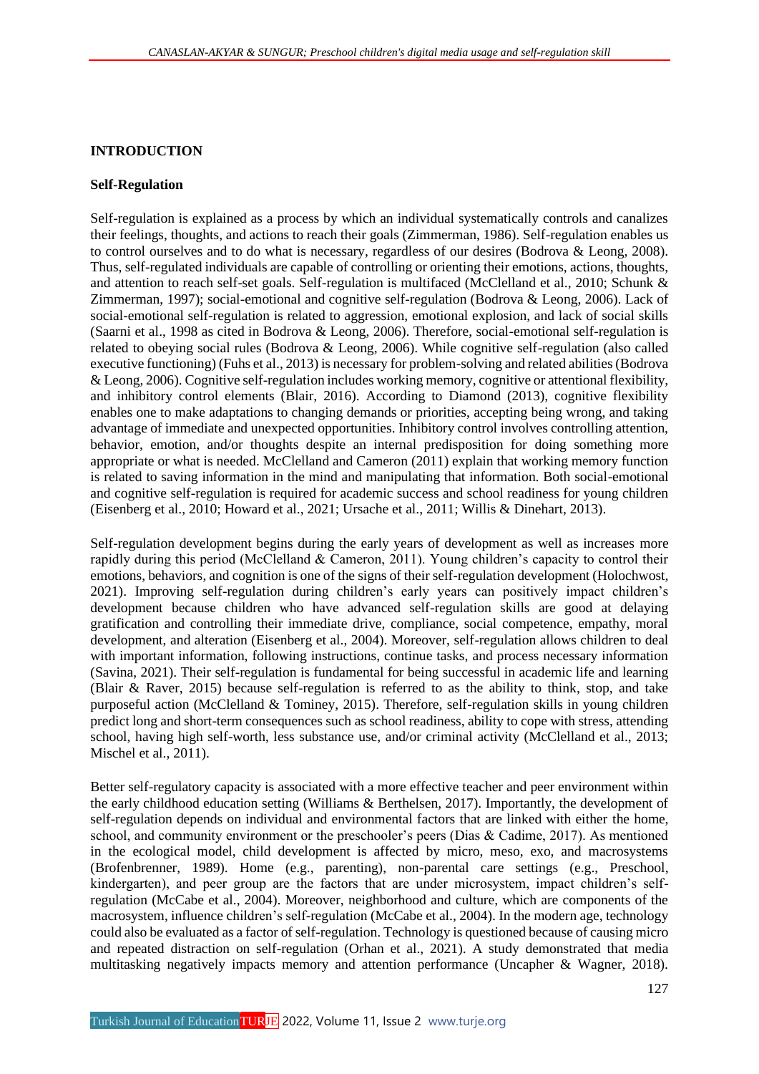## **INTRODUCTION**

#### **Self-Regulation**

Self-regulation is explained as a process by which an individual systematically controls and canalizes their feelings, thoughts, and actions to reach their goals (Zimmerman, 1986). Self-regulation enables us to control ourselves and to do what is necessary, regardless of our desires (Bodrova & Leong, 2008). Thus, self-regulated individuals are capable of controlling or orienting their emotions, actions, thoughts, and attention to reach self-set goals. Self-regulation is multifaced (McClelland et al., 2010; Schunk & Zimmerman, 1997); social-emotional and cognitive self-regulation (Bodrova & Leong, 2006). Lack of social-emotional self-regulation is related to aggression, emotional explosion, and lack of social skills (Saarni et al., 1998 as cited in Bodrova & Leong, 2006). Therefore, social-emotional self-regulation is related to obeying social rules (Bodrova & Leong, 2006). While cognitive self-regulation (also called executive functioning) (Fuhs et al., 2013) is necessary for problem-solving and related abilities (Bodrova & Leong, 2006). Cognitive self-regulation includes working memory, cognitive or attentional flexibility, and inhibitory control elements (Blair, 2016). According to Diamond (2013), cognitive flexibility enables one to make adaptations to changing demands or priorities, accepting being wrong, and taking advantage of immediate and unexpected opportunities. Inhibitory control involves controlling attention, behavior, emotion, and/or thoughts despite an internal predisposition for doing something more appropriate or what is needed. McClelland and Cameron (2011) explain that working memory function is related to saving information in the mind and manipulating that information. Both social-emotional and cognitive self-regulation is required for academic success and school readiness for young children (Eisenberg et al., 2010; Howard et al., 2021; Ursache et al., 2011; Willis & Dinehart, 2013).

Self-regulation development begins during the early years of development as well as increases more rapidly during this period (McClelland & Cameron, 2011). Young children's capacity to control their emotions, behaviors, and cognition is one of the signs of their self-regulation development (Holochwost, 2021). Improving self-regulation during children's early years can positively impact children's development because children who have advanced self-regulation skills are good at delaying gratification and controlling their immediate drive, compliance, social competence, empathy, moral development, and alteration (Eisenberg et al., 2004). Moreover, self-regulation allows children to deal with important information, following instructions, continue tasks, and process necessary information (Savina, 2021). Their self-regulation is fundamental for being successful in academic life and learning (Blair & Raver, 2015) because self-regulation is referred to as the ability to think, stop, and take purposeful action (McClelland & Tominey, 2015). Therefore, self-regulation skills in young children predict long and short-term consequences such as school readiness, ability to cope with stress, attending school, having high self-worth, less substance use, and/or criminal activity (McClelland et al., 2013; Mischel et al., 2011).

Better self-regulatory capacity is associated with a more effective teacher and peer environment within the early childhood education setting (Williams & Berthelsen, 2017). Importantly, the development of self-regulation depends on individual and environmental factors that are linked with either the home, school, and community environment or the preschooler's peers (Dias & Cadime, 2017). As mentioned in the ecological model, child development is affected by micro, meso, exo, and macrosystems (Brofenbrenner, 1989). Home (e.g., parenting), non-parental care settings (e.g., Preschool, kindergarten), and peer group are the factors that are under microsystem, impact children's selfregulation (McCabe et al., 2004). Moreover, neighborhood and culture, which are components of the macrosystem, influence children's self-regulation (McCabe et al., 2004). In the modern age, technology could also be evaluated as a factor of self-regulation. Technology is questioned because of causing micro and repeated distraction on self-regulation (Orhan et al., 2021). A study demonstrated that media multitasking negatively impacts memory and attention performance (Uncapher & Wagner, 2018).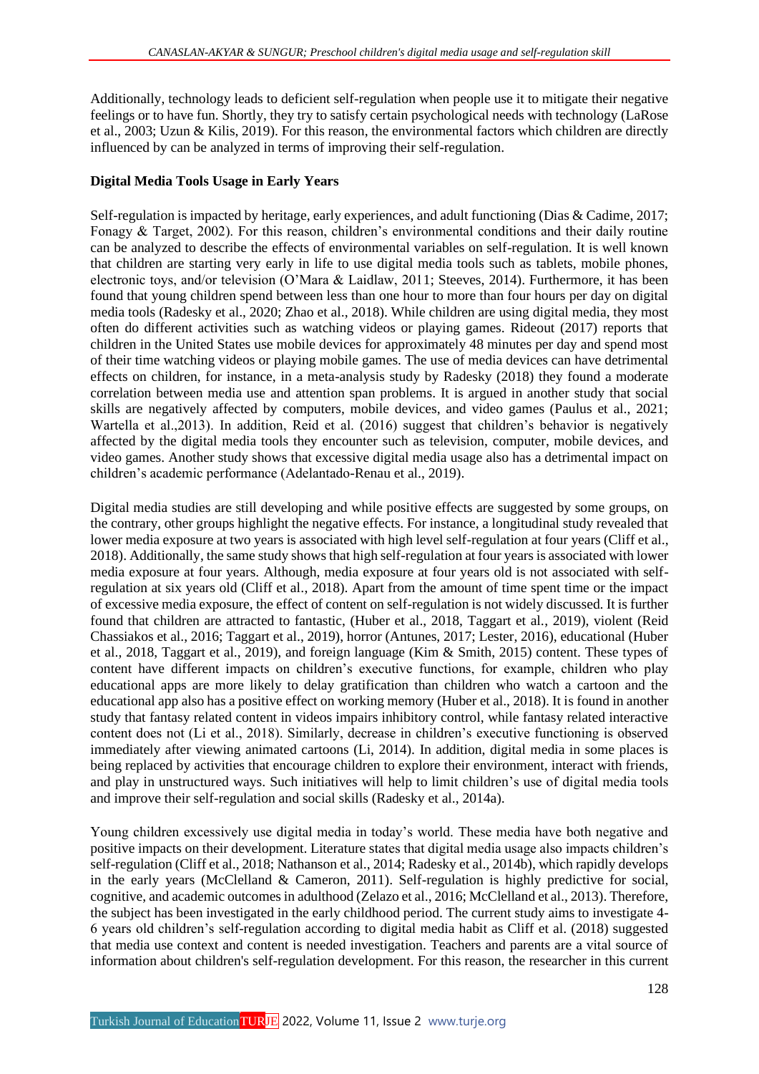Additionally, technology leads to deficient self-regulation when people use it to mitigate their negative feelings or to have fun. Shortly, they try to satisfy certain psychological needs with technology (LaRose et al., 2003; Uzun & Kilis, 2019). For this reason, the environmental factors which children are directly influenced by can be analyzed in terms of improving their self-regulation.

## **Digital Media Tools Usage in Early Years**

Self-regulation is impacted by heritage, early experiences, and adult functioning (Dias & Cadime, 2017; Fonagy & Target, 2002). For this reason, children's environmental conditions and their daily routine can be analyzed to describe the effects of environmental variables on self-regulation. It is well known that children are starting very early in life to use digital media tools such as tablets, mobile phones, electronic toys, and/or television (O'Mara & Laidlaw, 2011; Steeves, 2014). Furthermore, it has been found that young children spend between less than one hour to more than four hours per day on digital media tools (Radesky et al., 2020; Zhao et al., 2018). While children are using digital media, they most often do different activities such as watching videos or playing games. Rideout (2017) reports that children in the United States use mobile devices for approximately 48 minutes per day and spend most of their time watching videos or playing mobile games. The use of media devices can have detrimental effects on children, for instance, in a meta-analysis study by Radesky (2018) they found a moderate correlation between media use and attention span problems. It is argued in another study that social skills are negatively affected by computers, mobile devices, and video games (Paulus et al., 2021; Wartella et al.,2013). In addition, Reid et al. (2016) suggest that children's behavior is negatively affected by the digital media tools they encounter such as television, computer, mobile devices, and video games. Another study shows that excessive digital media usage also has a detrimental impact on children's academic performance (Adelantado-Renau et al., 2019).

Digital media studies are still developing and while positive effects are suggested by some groups, on the contrary, other groups highlight the negative effects. For instance, a longitudinal study revealed that lower media exposure at two years is associated with high level self-regulation at four years (Cliff et al., 2018). Additionally, the same study shows that high self-regulation at four years is associated with lower media exposure at four years. Although, media exposure at four years old is not associated with selfregulation at six years old (Cliff et al., 2018). Apart from the amount of time spent time or the impact of excessive media exposure, the effect of content on self-regulation is not widely discussed. It is further found that children are attracted to fantastic, (Huber et al., 2018, Taggart et al., 2019), violent (Reid Chassiakos et al., 2016; Taggart et al., 2019), horror (Antunes, 2017; Lester, 2016), educational (Huber et al., 2018, Taggart et al., 2019), and foreign language (Kim & Smith, 2015) content. These types of content have different impacts on children's executive functions, for example, children who play educational apps are more likely to delay gratification than children who watch a cartoon and the educational app also has a positive effect on working memory (Huber et al., 2018). It is found in another study that fantasy related content in videos impairs inhibitory control, while fantasy related interactive content does not (Li et al., 2018). Similarly, decrease in children's executive functioning is observed immediately after viewing animated cartoons (Li, 2014). In addition, digital media in some places is being replaced by activities that encourage children to explore their environment, interact with friends, and play in unstructured ways. Such initiatives will help to limit children's use of digital media tools and improve their self-regulation and social skills (Radesky et al., 2014a).

Young children excessively use digital media in today's world. These media have both negative and positive impacts on their development. Literature states that digital media usage also impacts children's self-regulation (Cliff et al., 2018; Nathanson et al., 2014; Radesky et al., 2014b), which rapidly develops in the early years (McClelland & Cameron, 2011). Self-regulation is highly predictive for social, cognitive, and academic outcomes in adulthood (Zelazo et al., 2016; McClelland et al., 2013). Therefore, the subject has been investigated in the early childhood period. The current study aims to investigate 4- 6 years old children's self-regulation according to digital media habit as Cliff et al. (2018) suggested that media use context and content is needed investigation. Teachers and parents are a vital source of information about children's self-regulation development. For this reason, the researcher in this current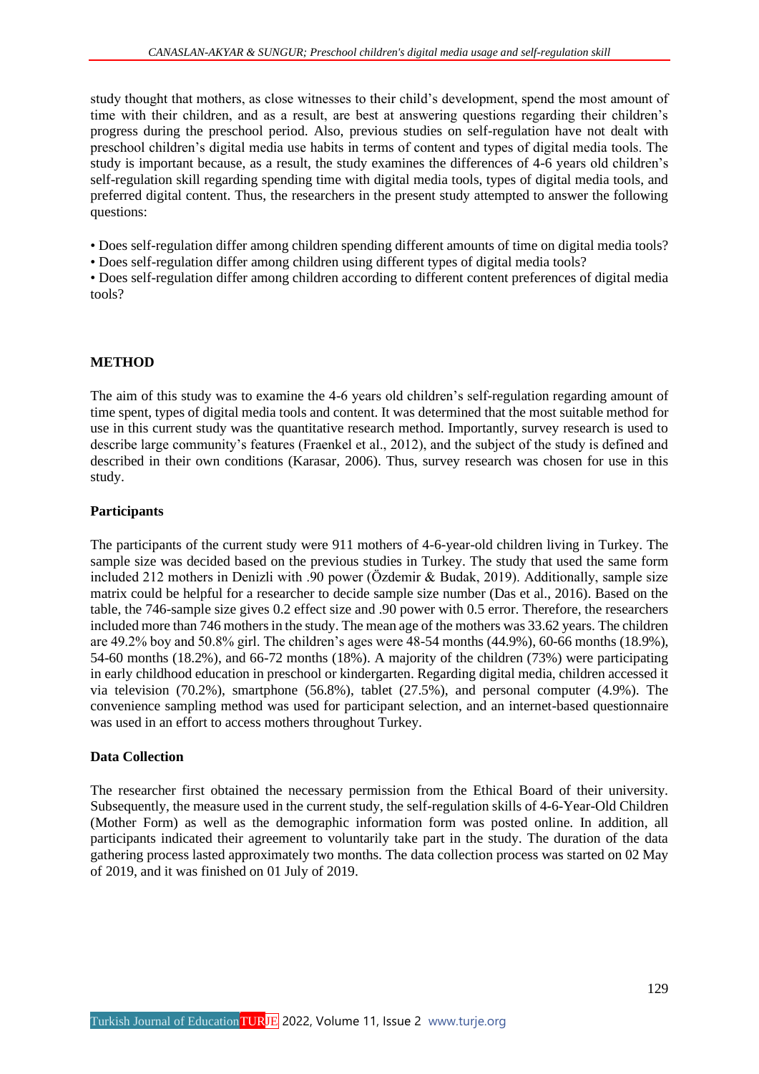study thought that mothers, as close witnesses to their child's development, spend the most amount of time with their children, and as a result, are best at answering questions regarding their children's progress during the preschool period. Also, previous studies on self-regulation have not dealt with preschool children's digital media use habits in terms of content and types of digital media tools. The study is important because, as a result, the study examines the differences of 4-6 years old children's self-regulation skill regarding spending time with digital media tools, types of digital media tools, and preferred digital content. Thus, the researchers in the present study attempted to answer the following questions:

• Does self-regulation differ among children spending different amounts of time on digital media tools?

• Does self-regulation differ among children using different types of digital media tools?

• Does self-regulation differ among children according to different content preferences of digital media tools?

## **METHOD**

The aim of this study was to examine the 4-6 years old children's self-regulation regarding amount of time spent, types of digital media tools and content. It was determined that the most suitable method for use in this current study was the quantitative research method. Importantly, survey research is used to describe large community's features (Fraenkel et al., 2012), and the subject of the study is defined and described in their own conditions (Karasar, 2006). Thus, survey research was chosen for use in this study.

## **Participants**

The participants of the current study were 911 mothers of 4-6-year-old children living in Turkey. The sample size was decided based on the previous studies in Turkey. The study that used the same form included 212 mothers in Denizli with .90 power (Özdemir & Budak, 2019). Additionally, sample size matrix could be helpful for a researcher to decide sample size number (Das et al., 2016). Based on the table, the 746-sample size gives 0.2 effect size and .90 power with 0.5 error. Therefore, the researchers included more than 746 mothers in the study. The mean age of the mothers was 33.62 years. The children are 49.2% boy and 50.8% girl. The children's ages were 48-54 months (44.9%), 60-66 months (18.9%), 54-60 months (18.2%), and 66-72 months (18%). A majority of the children (73%) were participating in early childhood education in preschool or kindergarten. Regarding digital media, children accessed it via television (70.2%), smartphone (56.8%), tablet (27.5%), and personal computer (4.9%). The convenience sampling method was used for participant selection, and an internet-based questionnaire was used in an effort to access mothers throughout Turkey.

## **Data Collection**

The researcher first obtained the necessary permission from the Ethical Board of their university. Subsequently, the measure used in the current study, the self-regulation skills of 4-6-Year-Old Children (Mother Form) as well as the demographic information form was posted online. In addition, all participants indicated their agreement to voluntarily take part in the study. The duration of the data gathering process lasted approximately two months. The data collection process was started on 02 May of 2019, and it was finished on 01 July of 2019.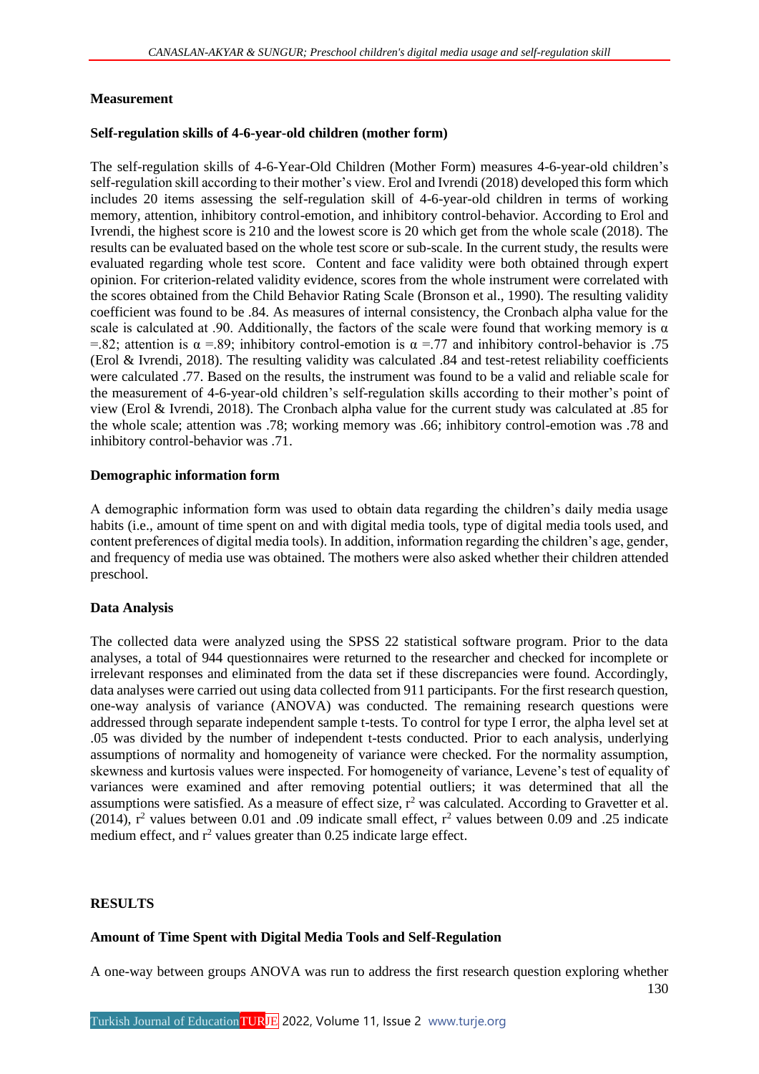## **Measurement**

## **Self-regulation skills of 4-6-year-old children (mother form)**

The self-regulation skills of 4-6-Year-Old Children (Mother Form) measures 4-6-year-old children's self-regulation skill according to their mother's view. Erol and Ivrendi (2018) developed this form which includes 20 items assessing the self-regulation skill of 4-6-year-old children in terms of working memory, attention, inhibitory control-emotion, and inhibitory control-behavior. According to Erol and Ivrendi, the highest score is 210 and the lowest score is 20 which get from the whole scale (2018). The results can be evaluated based on the whole test score or sub-scale. In the current study, the results were evaluated regarding whole test score. Content and face validity were both obtained through expert opinion. For criterion-related validity evidence, scores from the whole instrument were correlated with the scores obtained from the Child Behavior Rating Scale (Bronson et al., 1990). The resulting validity coefficient was found to be .84. As measures of internal consistency, the Cronbach alpha value for the scale is calculated at .90. Additionally, the factors of the scale were found that working memory is  $\alpha$ =.82; attention is  $\alpha$  =.89; inhibitory control-emotion is  $\alpha$  =.77 and inhibitory control-behavior is .75 (Erol & Ivrendi, 2018). The resulting validity was calculated .84 and test-retest reliability coefficients were calculated .77. Based on the results, the instrument was found to be a valid and reliable scale for the measurement of 4-6-year-old children's self-regulation skills according to their mother's point of view (Erol & Ivrendi, 2018). The Cronbach alpha value for the current study was calculated at .85 for the whole scale; attention was .78; working memory was .66; inhibitory control-emotion was .78 and inhibitory control-behavior was .71.

## **Demographic information form**

A demographic information form was used to obtain data regarding the children's daily media usage habits (i.e., amount of time spent on and with digital media tools, type of digital media tools used, and content preferences of digital media tools). In addition, information regarding the children's age, gender, and frequency of media use was obtained. The mothers were also asked whether their children attended preschool.

## **Data Analysis**

The collected data were analyzed using the SPSS 22 statistical software program. Prior to the data analyses, a total of 944 questionnaires were returned to the researcher and checked for incomplete or irrelevant responses and eliminated from the data set if these discrepancies were found. Accordingly, data analyses were carried out using data collected from 911 participants. For the first research question, one-way analysis of variance (ANOVA) was conducted. The remaining research questions were addressed through separate independent sample t-tests. To control for type I error, the alpha level set at .05 was divided by the number of independent t-tests conducted. Prior to each analysis, underlying assumptions of normality and homogeneity of variance were checked. For the normality assumption, skewness and kurtosis values were inspected. For homogeneity of variance, Levene's test of equality of variances were examined and after removing potential outliers; it was determined that all the assumptions were satisfied. As a measure of effect size,  $r^2$  was calculated. According to Gravetter et al. (2014),  $r^2$  values between 0.01 and .09 indicate small effect,  $r^2$  values between 0.09 and .25 indicate medium effect, and  $r^2$  values greater than 0.25 indicate large effect.

## **RESULTS**

## **Amount of Time Spent with Digital Media Tools and Self-Regulation**

130 A one-way between groups ANOVA was run to address the first research question exploring whether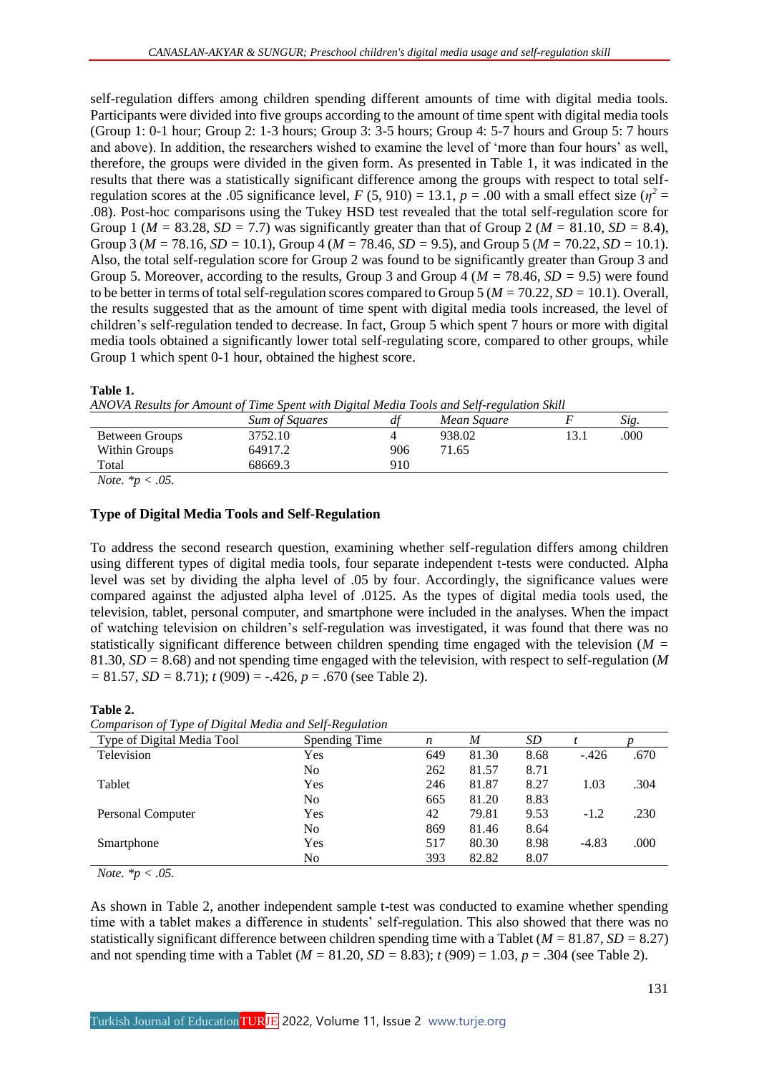self-regulation differs among children spending different amounts of time with digital media tools. Participants were divided into five groups according to the amount of time spent with digital media tools (Group 1: 0-1 hour; Group 2: 1-3 hours; Group 3: 3-5 hours; Group 4: 5-7 hours and Group 5: 7 hours and above). In addition, the researchers wished to examine the level of 'more than four hours' as well, therefore, the groups were divided in the given form. As presented in Table 1, it was indicated in the results that there was a statistically significant difference among the groups with respect to total selfregulation scores at the .05 significance level,  $F(5, 910) = 13.1$ ,  $p = .00$  with a small effect size ( $\eta^2 =$ .08). Post-hoc comparisons using the Tukey HSD test revealed that the total self-regulation score for Group 1 ( $M = 83.28$ ,  $SD = 7.7$ ) was significantly greater than that of Group 2 ( $M = 81.10$ ,  $SD = 8.4$ ), Group 3 (*M =* 78.16, *SD =* 10.1), Group 4 (*M =* 78.46, *SD =* 9.5), and Group 5 (*M =* 70.22, *SD =* 10.1). Also, the total self-regulation score for Group 2 was found to be significantly greater than Group 3 and Group 5. Moreover, according to the results, Group 3 and Group 4 (*M =* 78.46, *SD =* 9.5) were found to be better in terms of total self-regulation scores compared to Group 5 (*M =* 70.22, *SD =* 10.1). Overall, the results suggested that as the amount of time spent with digital media tools increased, the level of children's self-regulation tended to decrease. In fact, Group 5 which spent 7 hours or more with digital media tools obtained a significantly lower total self-regulating score, compared to other groups, while Group 1 which spent 0-1 hour, obtained the highest score.

#### **Table 1.**

*ANOVA Results for Amount of Time Spent with Digital Media Tools and Self-regulation Skill*

|                | Sum of Squares |     | Mean Square |      | Sig. |
|----------------|----------------|-----|-------------|------|------|
| Between Groups | 3752.10        |     | 938.02      | 13.1 | .000 |
| Within Groups  | 64917.2        | 906 | 71.65       |      |      |
| Total          | 68669.3        | 910 |             |      |      |
|                |                |     |             |      |      |

*Note. \*p < .05.*

## **Type of Digital Media Tools and Self-Regulation**

To address the second research question, examining whether self-regulation differs among children using different types of digital media tools, four separate independent t-tests were conducted. Alpha level was set by dividing the alpha level of .05 by four. Accordingly, the significance values were compared against the adjusted alpha level of .0125. As the types of digital media tools used, the television, tablet, personal computer, and smartphone were included in the analyses. When the impact of watching television on children's self-regulation was investigated, it was found that there was no statistically significant difference between children spending time engaged with the television (*M =* 81.30, *SD =* 8.68) and not spending time engaged with the television, with respect to self-regulation (*M =* 81.57, *SD =* 8.71); *t* (909) = -.426, *p* = .670 (see Table 2).

#### **Table 2.**

| Comparison of Type of Digital Media and Self-Regulation |  |  |  |
|---------------------------------------------------------|--|--|--|

| Type of Digital Media Tool | Spending Time  | n   | M     | SD   |         |      |
|----------------------------|----------------|-----|-------|------|---------|------|
| Television                 | Yes            | 649 | 81.30 | 8.68 | $-.426$ | .670 |
|                            | No             | 262 | 81.57 | 8.71 |         |      |
| Tablet                     | Yes            | 246 | 81.87 | 8.27 | 1.03    | .304 |
|                            | N <sub>0</sub> | 665 | 81.20 | 8.83 |         |      |
| Personal Computer          | Yes            | 42  | 79.81 | 9.53 | $-1.2$  | .230 |
|                            | N <sub>0</sub> | 869 | 81.46 | 8.64 |         |      |
| Smartphone                 | Yes            | 517 | 80.30 | 8.98 | $-4.83$ | .000 |
|                            | No             | 393 | 82.82 | 8.07 |         |      |

*Note. \*p < .05.*

As shown in Table 2, another independent sample t-test was conducted to examine whether spending time with a tablet makes a difference in students' self-regulation. This also showed that there was no statistically significant difference between children spending time with a Tablet (*M =* 81.87, *SD =* 8.27) and not spending time with a Tablet ( $M = 81.20$ ,  $SD = 8.83$ );  $t(909) = 1.03$ ,  $p = .304$  (see Table 2).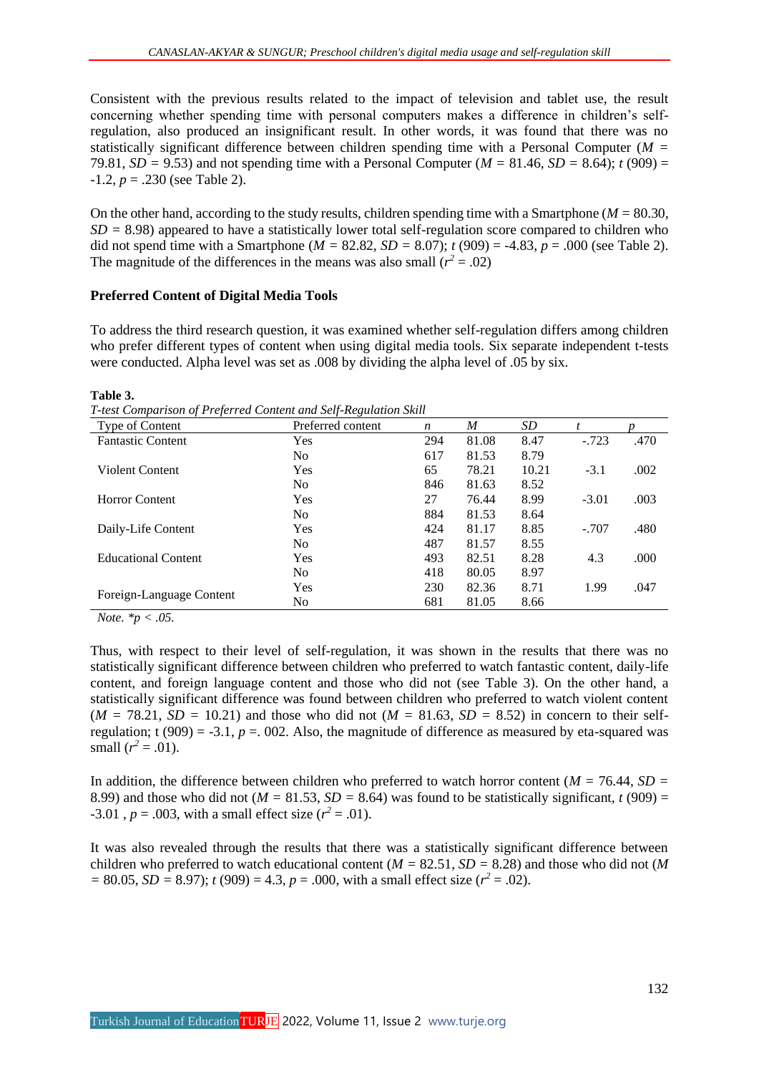Consistent with the previous results related to the impact of television and tablet use, the result concerning whether spending time with personal computers makes a difference in children's selfregulation, also produced an insignificant result. In other words, it was found that there was no statistically significant difference between children spending time with a Personal Computer (*M =* 79.81, *SD* = 9.53) and not spending time with a Personal Computer ( $M = 81.46$ , *SD* = 8.64); *t* (909) =  $-1.2$ ,  $p = .230$  (see Table 2).

On the other hand, according to the study results, children spending time with a Smartphone (*M =* 80.30, *SD =* 8.98) appeared to have a statistically lower total self-regulation score compared to children who did not spend time with a Smartphone ( $M = 82.82$ ,  $SD = 8.07$ );  $t(909) = -4.83$ ,  $p = .000$  (see Table 2). The magnitude of the differences in the means was also small ( $r^2 = .02$ )

## **Preferred Content of Digital Media Tools**

To address the third research question, it was examined whether self-regulation differs among children who prefer different types of content when using digital media tools. Six separate independent t-tests were conducted. Alpha level was set as .008 by dividing the alpha level of .05 by six.

#### **Table 3.**

*T-test Comparison of Preferred Content and Self-Regulation Skill*

| Type of Content            | Preferred content | n   | M     | SD    |         |      |
|----------------------------|-------------------|-----|-------|-------|---------|------|
| <b>Fantastic Content</b>   | Yes               | 294 | 81.08 | 8.47  | $-.723$ | .470 |
|                            | N <sub>0</sub>    | 617 | 81.53 | 8.79  |         |      |
| Violent Content            | Yes               | 65  | 78.21 | 10.21 | $-3.1$  | .002 |
|                            | N <sub>0</sub>    | 846 | 81.63 | 8.52  |         |      |
| <b>Horror Content</b>      | Yes               | 27  | 76.44 | 8.99  | $-3.01$ | .003 |
|                            | N <sub>o</sub>    | 884 | 81.53 | 8.64  |         |      |
| Daily-Life Content         | Yes               | 424 | 81.17 | 8.85  | $-.707$ | .480 |
|                            | N <sub>0</sub>    | 487 | 81.57 | 8.55  |         |      |
| <b>Educational Content</b> | Yes               | 493 | 82.51 | 8.28  | 4.3     | .000 |
|                            | No.               | 418 | 80.05 | 8.97  |         |      |
|                            | Yes               | 230 | 82.36 | 8.71  | 1.99    | .047 |
| Foreign-Language Content   | No.               | 681 | 81.05 | 8.66  |         |      |

*Note. \*p < .05.*

Thus, with respect to their level of self-regulation, it was shown in the results that there was no statistically significant difference between children who preferred to watch fantastic content, daily-life content, and foreign language content and those who did not (see Table 3). On the other hand, a statistically significant difference was found between children who preferred to watch violent content  $(M = 78.21, SD = 10.21)$  and those who did not  $(M = 81.63, SD = 8.52)$  in concern to their selfregulation;  $t(909) = -3.1$ ,  $p = 0.002$ . Also, the magnitude of difference as measured by eta-squared was small  $(r^2 = .01)$ .

In addition, the difference between children who preferred to watch horror content (*M =* 76.44, *SD =* 8.99) and those who did not ( $M = 81.53$ ,  $SD = 8.64$ ) was found to be statistically significant, *t* (909) =  $-3.01$ ,  $p = .003$ , with a small effect size ( $r^2 = .01$ ).

It was also revealed through the results that there was a statistically significant difference between children who preferred to watch educational content (*M =* 82.51, *SD =* 8.28) and those who did not (*M*   $= 80.05$ , *SD* = 8.97); *t* (909) = 4.3, *p* = .000, with a small effect size ( $r^2 = .02$ ).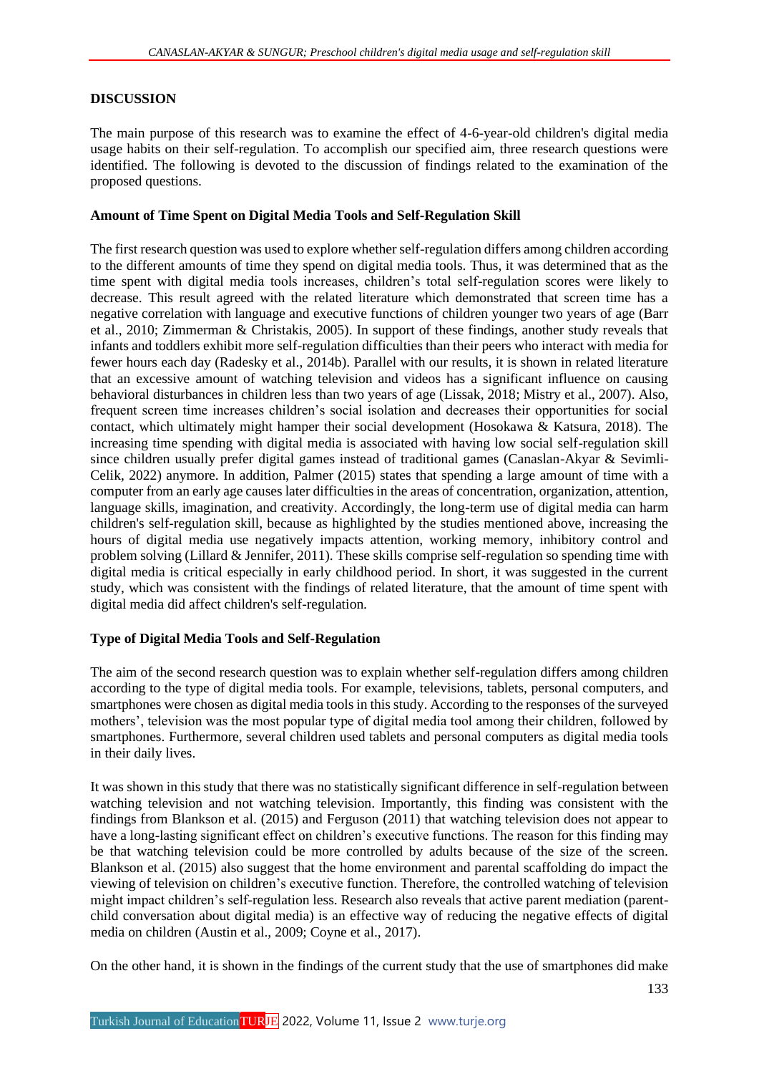## **DISCUSSION**

The main purpose of this research was to examine the effect of 4-6-year-old children's digital media usage habits on their self-regulation. To accomplish our specified aim, three research questions were identified. The following is devoted to the discussion of findings related to the examination of the proposed questions.

## **Amount of Time Spent on Digital Media Tools and Self-Regulation Skill**

The first research question was used to explore whether self-regulation differs among children according to the different amounts of time they spend on digital media tools. Thus, it was determined that as the time spent with digital media tools increases, children's total self-regulation scores were likely to decrease. This result agreed with the related literature which demonstrated that screen time has a negative correlation with language and executive functions of children younger two years of age (Barr et al., 2010; Zimmerman & Christakis, 2005). In support of these findings, another study reveals that infants and toddlers exhibit more self-regulation difficulties than their peers who interact with media for fewer hours each day (Radesky et al., 2014b). Parallel with our results, it is shown in related literature that an excessive amount of watching television and videos has a significant influence on causing behavioral disturbances in children less than two years of age (Lissak, 2018; Mistry et al., 2007). Also, frequent screen time increases children's social isolation and decreases their opportunities for social contact, which ultimately might hamper their social development (Hosokawa & Katsura, 2018). The increasing time spending with digital media is associated with having low social self-regulation skill since children usually prefer digital games instead of traditional games (Canaslan-Akyar & Sevimli-Celik, 2022) anymore. In addition, Palmer (2015) states that spending a large amount of time with a computer from an early age causes later difficulties in the areas of concentration, organization, attention, language skills, imagination, and creativity. Accordingly, the long-term use of digital media can harm children's self-regulation skill, because as highlighted by the studies mentioned above, increasing the hours of digital media use negatively impacts attention, working memory, inhibitory control and problem solving (Lillard & Jennifer, 2011). These skills comprise self-regulation so spending time with digital media is critical especially in early childhood period. In short, it was suggested in the current study, which was consistent with the findings of related literature, that the amount of time spent with digital media did affect children's self-regulation.

## **Type of Digital Media Tools and Self-Regulation**

The aim of the second research question was to explain whether self-regulation differs among children according to the type of digital media tools. For example, televisions, tablets, personal computers, and smartphones were chosen as digital media tools in this study. According to the responses of the surveyed mothers', television was the most popular type of digital media tool among their children, followed by smartphones. Furthermore, several children used tablets and personal computers as digital media tools in their daily lives.

It was shown in this study that there was no statistically significant difference in self-regulation between watching television and not watching television. Importantly, this finding was consistent with the findings from Blankson et al. (2015) and Ferguson (2011) that watching television does not appear to have a long-lasting significant effect on children's executive functions. The reason for this finding may be that watching television could be more controlled by adults because of the size of the screen. Blankson et al. (2015) also suggest that the home environment and parental scaffolding do impact the viewing of television on children's executive function. Therefore, the controlled watching of television might impact children's self-regulation less. Research also reveals that active parent mediation (parentchild conversation about digital media) is an effective way of reducing the negative effects of digital media on children (Austin et al., 2009; Coyne et al., 2017).

On the other hand, it is shown in the findings of the current study that the use of smartphones did make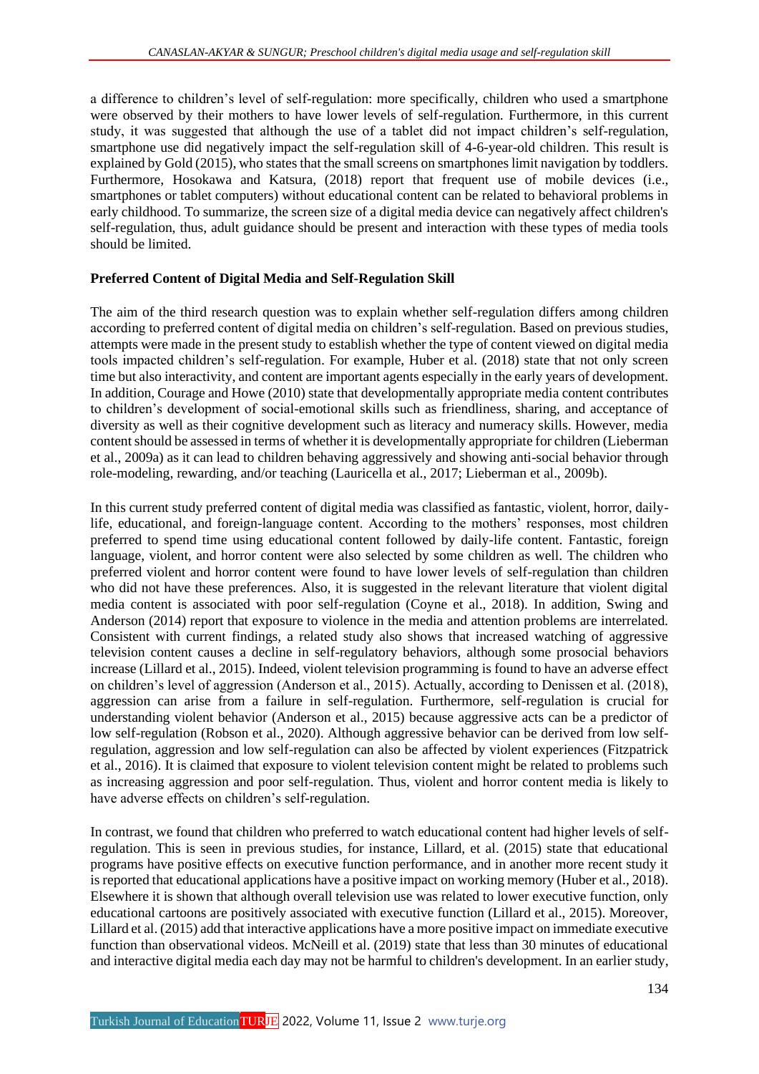a difference to children's level of self-regulation: more specifically, children who used a smartphone were observed by their mothers to have lower levels of self-regulation. Furthermore, in this current study, it was suggested that although the use of a tablet did not impact children's self-regulation, smartphone use did negatively impact the self-regulation skill of 4-6-year-old children. This result is explained by Gold (2015), who states that the small screens on smartphones limit navigation by toddlers. Furthermore, Hosokawa and Katsura, (2018) report that frequent use of mobile devices (i.e., smartphones or tablet computers) without educational content can be related to behavioral problems in early childhood. To summarize, the screen size of a digital media device can negatively affect children's self-regulation, thus, adult guidance should be present and interaction with these types of media tools should be limited.

## **Preferred Content of Digital Media and Self-Regulation Skill**

The aim of the third research question was to explain whether self-regulation differs among children according to preferred content of digital media on children's self-regulation. Based on previous studies, attempts were made in the present study to establish whether the type of content viewed on digital media tools impacted children's self-regulation. For example, Huber et al. (2018) state that not only screen time but also interactivity, and content are important agents especially in the early years of development. In addition, Courage and Howe (2010) state that developmentally appropriate media content contributes to children's development of social-emotional skills such as friendliness, sharing, and acceptance of diversity as well as their cognitive development such as literacy and numeracy skills. However, media content should be assessed in terms of whether it is developmentally appropriate for children (Lieberman et al., 2009a) as it can lead to children behaving aggressively and showing anti-social behavior through role-modeling, rewarding, and/or teaching (Lauricella et al., 2017; Lieberman et al., 2009b).

In this current study preferred content of digital media was classified as fantastic, violent, horror, dailylife, educational, and foreign-language content. According to the mothers' responses, most children preferred to spend time using educational content followed by daily-life content. Fantastic, foreign language, violent, and horror content were also selected by some children as well. The children who preferred violent and horror content were found to have lower levels of self-regulation than children who did not have these preferences. Also, it is suggested in the relevant literature that violent digital media content is associated with poor self-regulation (Coyne et al., 2018). In addition, Swing and Anderson (2014) report that exposure to violence in the media and attention problems are interrelated. Consistent with current findings, a related study also shows that increased watching of aggressive television content causes a decline in self-regulatory behaviors, although some prosocial behaviors increase (Lillard et al., 2015). Indeed, violent television programming is found to have an adverse effect on children's level of aggression (Anderson et al., 2015). Actually, according to Denissen et al. (2018), aggression can arise from a failure in self-regulation. Furthermore, self-regulation is crucial for understanding violent behavior (Anderson et al., 2015) because aggressive acts can be a predictor of low self-regulation (Robson et al., 2020). Although aggressive behavior can be derived from low selfregulation, aggression and low self-regulation can also be affected by violent experiences (Fitzpatrick et al., 2016). It is claimed that exposure to violent television content might be related to problems such as increasing aggression and poor self-regulation. Thus, violent and horror content media is likely to have adverse effects on children's self-regulation.

In contrast, we found that children who preferred to watch educational content had higher levels of selfregulation. This is seen in previous studies, for instance, Lillard, et al. (2015) state that educational programs have positive effects on executive function performance, and in another more recent study it is reported that educational applications have a positive impact on working memory (Huber et al., 2018). Elsewhere it is shown that although overall television use was related to lower executive function, only educational cartoons are positively associated with executive function (Lillard et al., 2015). Moreover, Lillard et al. (2015) add that interactive applications have a more positive impact on immediate executive function than observational videos. McNeill et al. (2019) state that less than 30 minutes of educational and interactive digital media each day may not be harmful to children's development. In an earlier study,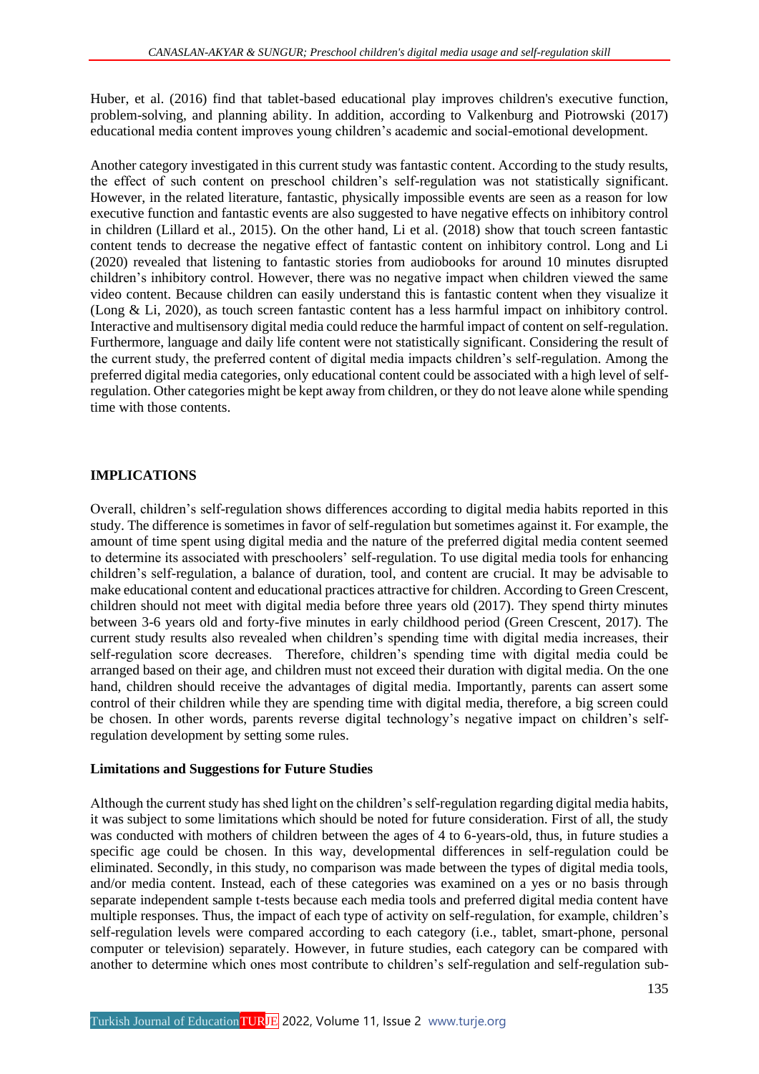Huber, et al. (2016) find that tablet-based educational play improves children's executive function, problem-solving, and planning ability. In addition, according to Valkenburg and Piotrowski (2017) educational media content improves young children's academic and social-emotional development.

Another category investigated in this current study was fantastic content. According to the study results, the effect of such content on preschool children's self-regulation was not statistically significant. However, in the related literature, fantastic, physically impossible events are seen as a reason for low executive function and fantastic events are also suggested to have negative effects on inhibitory control in children (Lillard et al., 2015). On the other hand, Li et al. (2018) show that touch screen fantastic content tends to decrease the negative effect of fantastic content on inhibitory control. Long and Li (2020) revealed that listening to fantastic stories from audiobooks for around 10 minutes disrupted children's inhibitory control. However, there was no negative impact when children viewed the same video content. Because children can easily understand this is fantastic content when they visualize it (Long & Li, 2020), as touch screen fantastic content has a less harmful impact on inhibitory control. Interactive and multisensory digital media could reduce the harmful impact of content on self-regulation. Furthermore, language and daily life content were not statistically significant. Considering the result of the current study, the preferred content of digital media impacts children's self-regulation. Among the preferred digital media categories, only educational content could be associated with a high level of selfregulation. Other categories might be kept away from children, or they do not leave alone while spending time with those contents.

## **IMPLICATIONS**

Overall, children's self-regulation shows differences according to digital media habits reported in this study. The difference is sometimes in favor of self-regulation but sometimes against it. For example, the amount of time spent using digital media and the nature of the preferred digital media content seemed to determine its associated with preschoolers' self-regulation. To use digital media tools for enhancing children's self-regulation, a balance of duration, tool, and content are crucial. It may be advisable to make educational content and educational practices attractive for children. According to Green Crescent, children should not meet with digital media before three years old (2017). They spend thirty minutes between 3-6 years old and forty-five minutes in early childhood period (Green Crescent, 2017). The current study results also revealed when children's spending time with digital media increases, their self-regulation score decreases. Therefore, children's spending time with digital media could be arranged based on their age, and children must not exceed their duration with digital media. On the one hand, children should receive the advantages of digital media. Importantly, parents can assert some control of their children while they are spending time with digital media, therefore, a big screen could be chosen. In other words, parents reverse digital technology's negative impact on children's selfregulation development by setting some rules.

## **Limitations and Suggestions for Future Studies**

Although the current study has shed light on the children's self-regulation regarding digital media habits, it was subject to some limitations which should be noted for future consideration. First of all, the study was conducted with mothers of children between the ages of 4 to 6-years-old, thus, in future studies a specific age could be chosen. In this way, developmental differences in self-regulation could be eliminated. Secondly, in this study, no comparison was made between the types of digital media tools, and/or media content. Instead, each of these categories was examined on a yes or no basis through separate independent sample t-tests because each media tools and preferred digital media content have multiple responses. Thus, the impact of each type of activity on self-regulation, for example, children's self-regulation levels were compared according to each category (i.e., tablet, smart-phone, personal computer or television) separately. However, in future studies, each category can be compared with another to determine which ones most contribute to children's self-regulation and self-regulation sub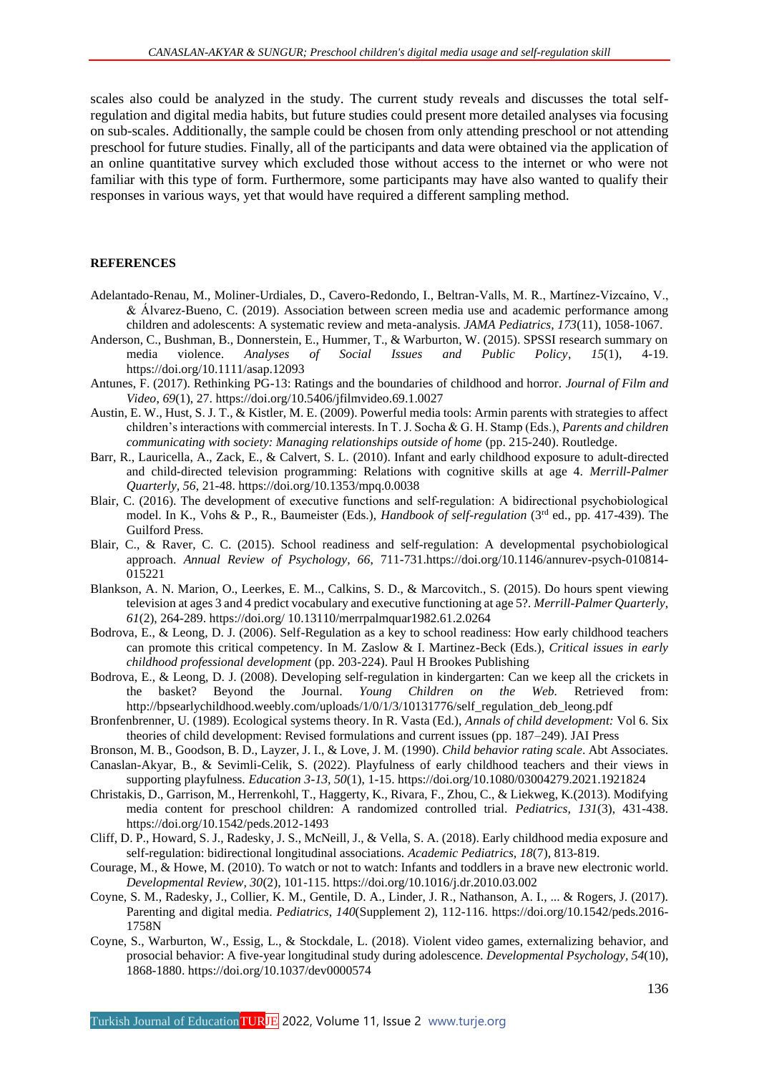scales also could be analyzed in the study. The current study reveals and discusses the total selfregulation and digital media habits, but future studies could present more detailed analyses via focusing on sub-scales. Additionally, the sample could be chosen from only attending preschool or not attending preschool for future studies. Finally, all of the participants and data were obtained via the application of an online quantitative survey which excluded those without access to the internet or who were not familiar with this type of form. Furthermore, some participants may have also wanted to qualify their responses in various ways, yet that would have required a different sampling method.

### **REFERENCES**

- Adelantado-Renau, M., Moliner-Urdiales, D., Cavero-Redondo, I., Beltran-Valls, M. R., Martínez-Vizcaíno, V., & Álvarez-Bueno, C. (2019). Association between screen media use and academic performance among children and adolescents: A systematic review and meta-analysis. *JAMA Pediatrics, 173*(11), 1058-1067.
- Anderson, C., Bushman, B., Donnerstein, E., Hummer, T., & Warburton, W. (2015). SPSSI research summary on media violence. *Analyses of Social Issues and Public Policy*, *15*(1), 4-19. https://doi.org/10.1111/asap.12093
- Antunes, F. (2017). Rethinking PG-13: Ratings and the boundaries of childhood and horror. *Journal of Film and Video*, *69*(1), 27. https://doi.org/10.5406/jfilmvideo.69.1.0027
- Austin, E. W., Hust, S. J. T., & Kistler, M. E. (2009). Powerful media tools: Armin parents with strategies to affect children's interactions with commercial interests. In T. J. Socha & G. H. Stamp (Eds.), *Parents and children communicating with society: Managing relationships outside of home* (pp. 215-240). Routledge.
- Barr, R., Lauricella, A., Zack, E., & Calvert, S. L. (2010). Infant and early childhood exposure to adult-directed and child-directed television programming: Relations with cognitive skills at age 4. *Merrill-Palmer Quarterly, 56*, 21-48. https://doi.org/10.1353/mpq.0.0038
- Blair, C. (2016). The development of executive functions and self-regulation: A bidirectional psychobiological model. In K., Vohs & P., R., Baumeister (Eds.), *Handbook of self-regulation* (3rd ed., pp. 417-439). The Guilford Press.
- Blair, C., & Raver, C. C. (2015). School readiness and self-regulation: A developmental psychobiological approach. *Annual Review of Psychology, 66*, 711-731.https://doi.org/10.1146/annurev-psych-010814- 015221
- Blankson, A. N. Marion, O., Leerkes, E. M.., Calkins, S. D., & Marcovitch., S. (2015). Do hours spent viewing television at ages 3 and 4 predict vocabulary and executive functioning at age 5?. *Merrill-Palmer Quarterly*, *61*(2), 264-289. https://doi.org/ 10.13110/merrpalmquar1982.61.2.0264
- Bodrova, E., & Leong, D. J. (2006). Self-Regulation as a key to school readiness: How early childhood teachers can promote this critical competency. In M. Zaslow & I. Martinez-Beck (Eds.), *Critical issues in early childhood professional development* (pp. 203-224). Paul H Brookes Publishing
- Bodrova, E., & Leong, D. J. (2008). Developing self-regulation in kindergarten: Can we keep all the crickets in the basket? Beyond the Journal. *Young Children on the Web.* Retrieved from: http://bpsearlychildhood.weebly.com/uploads/1/0/1/3/10131776/self\_regulation\_deb\_leong.pdf
- Bronfenbrenner, U. (1989). Ecological systems theory. In R. Vasta (Ed.), *Annals of child development:* Vol 6. Six theories of child development: Revised formulations and current issues (pp. 187–249). JAI Press
- Bronson, M. B., Goodson, B. D., Layzer, J. I., & Love, J. M. (1990). *Child behavior rating scale*. Abt Associates. Canaslan-Akyar, B., & Sevimli-Celik, S. (2022). Playfulness of early childhood teachers and their views in
- supporting playfulness. *Education 3-13, 50*(1), 1-15. https://doi.org/10.1080/03004279.2021.1921824 Christakis, D., Garrison, M., Herrenkohl, T., Haggerty, K., Rivara, F., Zhou, C., & Liekweg, K.(2013). Modifying
- media content for preschool children: A randomized controlled trial. *Pediatrics, 131*(3), 431-438. https://doi.org/10.1542/peds.2012-1493
- Cliff, D. P., Howard, S. J., Radesky, J. S., McNeill, J., & Vella, S. A. (2018). Early childhood media exposure and self-regulation: bidirectional longitudinal associations. *Academic Pediatrics, 18*(7), 813-819.
- Courage, M., & Howe, M. (2010). To watch or not to watch: Infants and toddlers in a brave new electronic world. *Developmental Review, 30*(2), 101-115. https://doi.org/10.1016/j.dr.2010.03.002
- Coyne, S. M., Radesky, J., Collier, K. M., Gentile, D. A., Linder, J. R., Nathanson, A. I., ... & Rogers, J. (2017). Parenting and digital media. *Pediatrics*, *140*(Supplement 2), 112-116. https://doi.org/10.1542/peds.2016- 1758N
- Coyne, S., Warburton, W., Essig, L., & Stockdale, L. (2018). Violent video games, externalizing behavior, and prosocial behavior: A five-year longitudinal study during adolescence*. Developmental Psychology, 54*(10), 1868-1880. https://doi.org/10.1037/dev0000574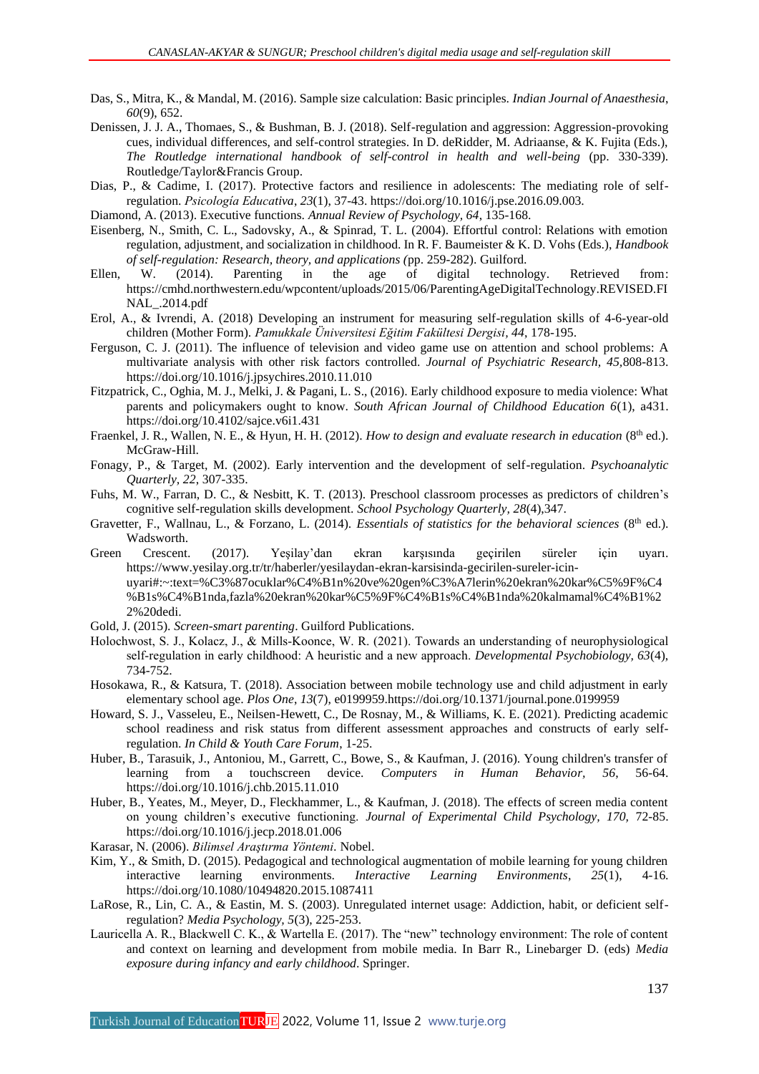- Das, S., Mitra, K., & Mandal, M. (2016). Sample size calculation: Basic principles. *Indian Journal of Anaesthesia*, *60*(9), 652.
- Denissen, J. J. A., Thomaes, S., & Bushman, B. J. (2018). Self-regulation and aggression: Aggression-provoking cues, individual differences, and self-control strategies. In D. deRidder, M. Adriaanse, & K. Fujita (Eds.), *The Routledge international handbook of self-control in health and well-being* (pp. 330-339). Routledge/Taylor&Francis Group.
- Dias, P., & Cadime, I. (2017). Protective factors and resilience in adolescents: The mediating role of selfregulation. *Psicología Educativa*, *23*(1), 37-43. https://doi.org/10.1016/j.pse.2016.09.003.
- Diamond, A. (2013). Executive functions. *Annual Review of Psychology, 64*, 135-168.
- Eisenberg, N., Smith, C. L., Sadovsky, A., & Spinrad, T. L. (2004). Effortful control: Relations with emotion regulation, adjustment, and socialization in childhood. In R. F. Baumeister & K. D. Vohs (Eds.), *Handbook of self-regulation: Research, theory, and applications (*pp. 259-282). Guilford.
- Ellen, W. (2014). Parenting in the age of digital technology. Retrieved from: https://cmhd.northwestern.edu/wpcontent/uploads/2015/06/ParentingAgeDigitalTechnology.REVISED.FI NAL\_.2014.pdf
- Erol, A., & Ivrendi, A. (2018) Developing an instrument for measuring self-regulation skills of 4-6-year-old children (Mother Form). *Pamukkale Üniversitesi Eğitim Fakültesi Dergisi, 44*, 178-195.
- Ferguson, C. J. (2011). The influence of television and video game use on attention and school problems: A multivariate analysis with other risk factors controlled. *Journal of Psychiatric Research, 45,*808-813. https://doi.org/10.1016/j.jpsychires.2010.11.010
- Fitzpatrick, C., Oghia, M. J., Melki, J. & Pagani, L. S., (2016). Early childhood exposure to media violence: What parents and policymakers ought to know. *South African Journal of Childhood Education 6*(1), a431. https://doi.org/10.4102/sajce.v6i1.431
- Fraenkel, J. R., Wallen, N. E., & Hyun, H. H. (2012). *How to design and evaluate research in education* (8<sup>th</sup> ed.). McGraw-Hill.
- Fonagy, P., & Target, M. (2002). Early intervention and the development of self-regulation. *Psychoanalytic Quarterly, 22*, 307-335.
- Fuhs, M. W., Farran, D. C., & Nesbitt, K. T. (2013). Preschool classroom processes as predictors of children's cognitive self-regulation skills development. *School Psychology Quarterly, 28*(4),347.
- Gravetter, F., Wallnau, L., & Forzano, L. (2014). *Essentials of statistics for the behavioral sciences* (8<sup>th</sup> ed.). Wadsworth.
- Green Crescent. (2017). Yeşilay'dan ekran karşısında geçirilen süreler için uyarı. [https://www.yesilay.org.tr/tr/haberler/yesilaydan-ekran-karsisinda-gecirilen-sureler-icin](https://www.yesilay.org.tr/tr/haberler/yesilaydan-ekran-karsisinda-gecirilen-sureler-icin-)uyari#:~:text=%C3%87ocuklar%C4%B1n%20ve%20gen%C3%A7lerin%20ekran%20kar%C5%9F%C4 %B1s%C4%B1nda,fazla%20ekran%20kar%C5%9F%C4%B1s%C4%B1nda%20kalmamal%C4%B1%2 2%20dedi.
- Gold, J. (2015). *Screen-smart parenting*. Guilford Publications.
- Holochwost, S. J., Kolacz, J., & Mills-Koonce, W. R. (2021). Towards an understanding of neurophysiological self-regulation in early childhood: A heuristic and a new approach. *Developmental Psychobiology*, 63(4), 734-752.
- Hosokawa, R., & Katsura, T. (2018). Association between mobile technology use and child adjustment in early elementary school age. *Plos One*, *13*(7), e0199959.https://doi.org/10.1371/journal.pone.0199959
- Howard, S. J., Vasseleu, E., Neilsen-Hewett, C., De Rosnay, M., & Williams, K. E. (2021). Predicting academic school readiness and risk status from different assessment approaches and constructs of early selfregulation. *In Child & Youth Care Forum*, 1-25.
- Huber, B., Tarasuik, J., Antoniou, M., Garrett, C., Bowe, S., & Kaufman, J. (2016). Young children's transfer of learning from a touchscreen device. *Computers in Human Behavior, 56*, 56-64. https://doi.org/10.1016/j.chb.2015.11.010
- Huber, B., Yeates, M., Meyer, D., Fleckhammer, L., & Kaufman, J. (2018). The effects of screen media content on young children's executive functioning. *Journal of Experimental Child Psychology, 170,* 72-85. https://doi.org/10.1016/j.jecp.2018.01.006
- Karasar, N. (2006). *Bilimsel Araştırma Yöntemi.* Nobel.
- Kim, Y., & Smith, D. (2015). Pedagogical and technological augmentation of mobile learning for young children interactive learning environments. *Interactive Learning Environments*, *25*(1), 4-16. https://doi.org/10.1080/10494820.2015.1087411
- LaRose, R., Lin, C. A., & Eastin, M. S. (2003). Unregulated internet usage: Addiction, habit, or deficient selfregulation? *Media Psychology, 5*(3), 225-253.
- Lauricella A. R., Blackwell C. K., & Wartella E. (2017). The "new" technology environment: The role of content and context on learning and development from mobile media. In Barr R., Linebarger D. (eds) *Media exposure during infancy and early childhood*. Springer.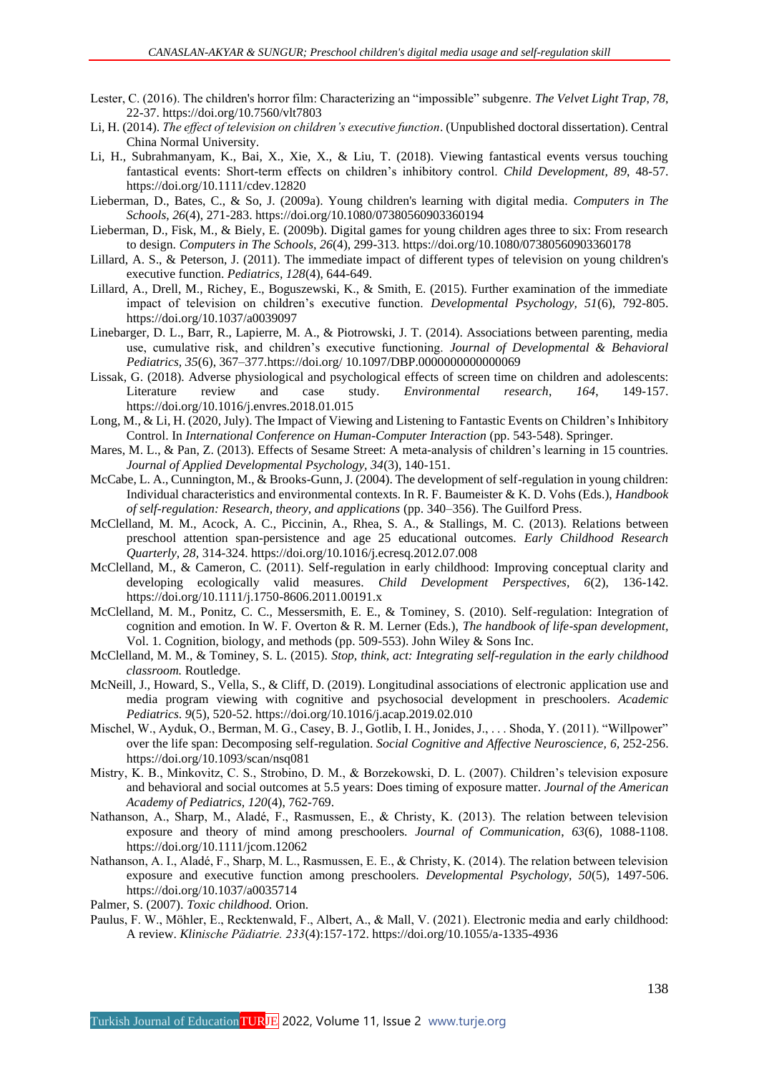- Lester, C. (2016). The children's horror film: Characterizing an "impossible" subgenre. *The Velvet Light Trap*, *78*, 22-37. https://doi.org/10.7560/vlt7803
- Li, H. (2014). *The effect of television on children's executive function*. (Unpublished doctoral dissertation). Central China Normal University.
- Li, H., Subrahmanyam, K., Bai, X., Xie, X., & Liu, T. (2018). Viewing fantastical events versus touching fantastical events: Short-term effects on children's inhibitory control. *Child Development, 89*, 48-57. https://doi.org/10.1111/cdev.12820
- Lieberman, D., Bates, C., & So, J. (2009a). Young children's learning with digital media. *Computers in The Schools, 26*(4), 271-283. https://doi.org/10.1080/07380560903360194
- Lieberman, D., Fisk, M., & Biely, E. (2009b). Digital games for young children ages three to six: From research to design. *Computers in The Schools, 26*(4), 299-313. https://doi.org/10.1080/07380560903360178
- Lillard, A. S., & Peterson, J. (2011). The immediate impact of different types of television on young children's executive function. *Pediatrics, 128*(4), 644-649.
- Lillard, A., Drell, M., Richey, E., Boguszewski, K., & Smith, E. (2015). Further examination of the immediate impact of television on children's executive function. *Developmental Psychology, 51*(6), 792-805. https://doi.org/10.1037/a0039097
- Linebarger, D. L., Barr, R., Lapierre, M. A., & Piotrowski, J. T. (2014). Associations between parenting, media use, cumulative risk, and children's executive functioning. *Journal of Developmental & Behavioral Pediatrics, 35*(6), 367–377.https://doi.org/ 10.1097/DBP.0000000000000069
- Lissak, G. (2018). Adverse physiological and psychological effects of screen time on children and adolescents: Literature review and case study. *Environmental research*, *164*, 149-157. https://doi.org/10.1016/j.envres.2018.01.015
- Long, M., & Li, H. (2020, July). The Impact of Viewing and Listening to Fantastic Events on Children's Inhibitory Control. In *International Conference on Human-Computer Interaction* (pp. 543-548). Springer.
- Mares, M. L., & Pan, Z. (2013). Effects of Sesame Street: A meta-analysis of children's learning in 15 countries. *Journal of Applied Developmental Psychology, 34*(3), 140-151.
- McCabe, L. A., Cunnington, M., & Brooks-Gunn, J. (2004). The development of self-regulation in young children: Individual characteristics and environmental contexts. In R. F. Baumeister & K. D. Vohs (Eds.), *Handbook of self-regulation: Research, theory, and applications* (pp. 340–356). The Guilford Press.
- McClelland, M. M., Acock, A. C., Piccinin, A., Rhea, S. A., & Stallings, M. C. (2013). Relations between preschool attention span-persistence and age 25 educational outcomes. *Early Childhood Research Quarterly, 28,* 314-324. https://doi.org/10.1016/j.ecresq.2012.07.008
- McClelland, M., & Cameron, C. (2011). Self-regulation in early childhood: Improving conceptual clarity and developing ecologically valid measures. *Child Development Perspectives, 6*(2), 136-142. https://doi.org/10.1111/j.1750-8606.2011.00191.x
- McClelland, M. M., Ponitz, C. C., Messersmith, E. E., & Tominey, S. (2010). Self-regulation: Integration of cognition and emotion. In W. F. Overton & R. M. Lerner (Eds.), *The handbook of life-span development,* Vol. 1. Cognition, biology, and methods (pp. 509-553). John Wiley & Sons Inc.
- McClelland, M. M., & Tominey, S. L. (2015). *Stop, think, act: Integrating self-regulation in the early childhood classroom.* Routledge.
- McNeill, J., Howard, S., Vella, S., & Cliff, D. (2019). Longitudinal associations of electronic application use and media program viewing with cognitive and psychosocial development in preschoolers. *Academic Pediatrics*. *9*(5), 520-52. https://doi.org/10.1016/j.acap.2019.02.010
- Mischel, W., Ayduk, O., Berman, M. G., Casey, B. J., Gotlib, I. H., Jonides, J., . . . Shoda, Y. (2011). "Willpower" over the life span: Decomposing self-regulation. *Social Cognitive and Affective Neuroscience, 6,* 252-256. https://doi.org/10.1093/scan/nsq081
- Mistry, K. B., Minkovitz, C. S., Strobino, D. M., & Borzekowski, D. L. (2007). Children's television exposure and behavioral and social outcomes at 5.5 years: Does timing of exposure matter. *Journal of the American Academy of Pediatrics, 120*(4), 762-769.
- Nathanson, A., Sharp, M., Aladé, F., Rasmussen, E., & Christy, K. (2013). The relation between television exposure and theory of mind among preschoolers. *Journal of Communication*, *63*(6), 1088-1108. https://doi.org/10.1111/jcom.12062
- Nathanson, A. I., Aladé, F., Sharp, M. L., Rasmussen, E. E., & Christy, K. (2014). The relation between television exposure and executive function among preschoolers. *Developmental Psychology, 50*(5), 1497-506. https://doi.org/10.1037/a0035714
- Palmer, S. (2007). *Toxic childhood.* Orion.
- Paulus, F. W., Möhler, E., Recktenwald, F., Albert, A., & Mall, V. (2021). Electronic media and early childhood: A review. *Klinische Pädiatrie. 233*(4):157-172. https://doi.org/10.1055/a-1335-4936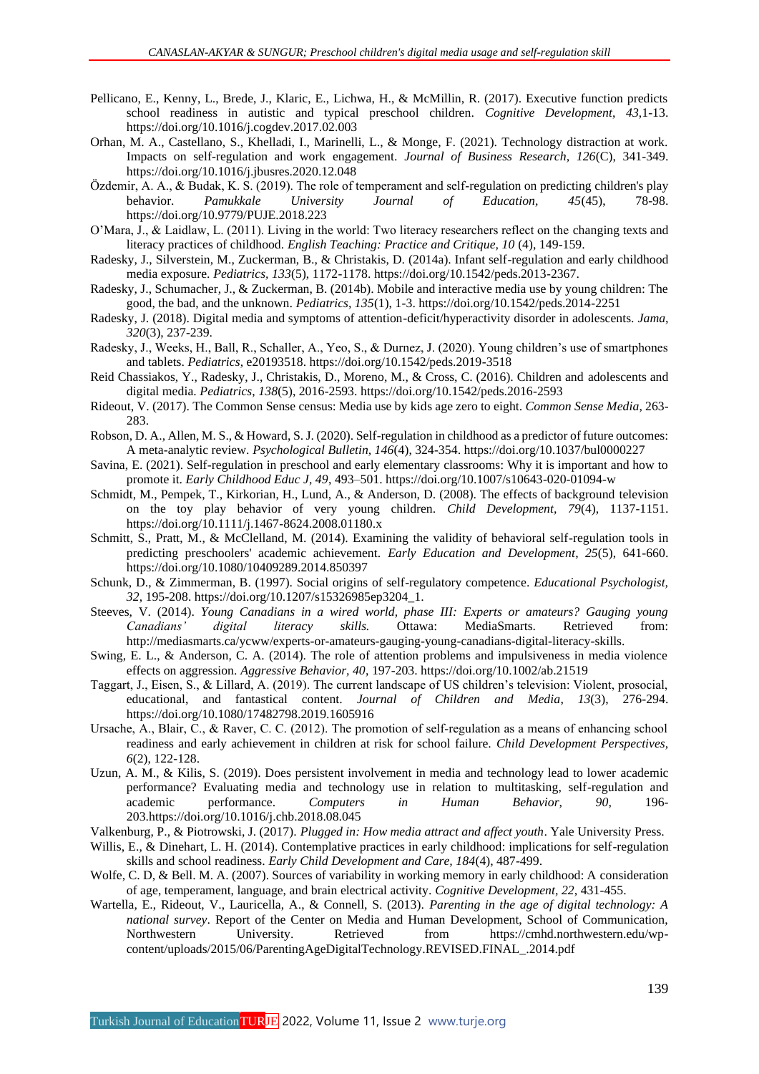- Pellicano, E., Kenny, L., Brede, J., Klaric, E., Lichwa, H., & McMillin, R. (2017). Executive function predicts school readiness in autistic and typical preschool children. *Cognitive Development*, *43*,1-13. https://doi.org/10.1016/j.cogdev.2017.02.003
- Orhan, M. A., Castellano, S., Khelladi, I., Marinelli, L., & Monge, F. (2021). Technology distraction at work. Impacts on self-regulation and work engagement. *Journal of Business Research, 126*(C), 341-349. https://doi.org/10.1016/j.jbusres.2020.12.048
- Özdemir, A. A., & Budak, K. S. (2019). The role of temperament and self-regulation on predicting children's play behavior. *Pamukkale University Journal of Education, 45*(45), 78-98. https://doi.org/10.9779/PUJE.2018.223
- O'Mara, J., & Laidlaw, L. (2011). Living in the world: Two literacy researchers reflect on the changing texts and literacy practices of childhood. *English Teaching: Practice and Critique, 10* (4), 149-159.
- Radesky, J., Silverstein, M., Zuckerman, B., & Christakis, D. (2014a). Infant self-regulation and early childhood media exposure. *Pediatrics, 133*(5), 1172-1178. [https://doi.org/10.1542/peds.2013-2](https://doi.org/10.1542/peds.2013-)367.
- Radesky, J., Schumacher, J., & Zuckerman, B. (2014b). Mobile and interactive media use by young children: The good, the bad, and the unknown*. Pediatrics, 135*(1), 1-3. https://doi.org/10.1542/peds.2014-2251
- Radesky, J. (2018). Digital media and symptoms of attention-deficit/hyperactivity disorder in adolescents. *Jama, 320*(3), 237-239.
- Radesky, J., Weeks, H., Ball, R., Schaller, A., Yeo, S., & Durnez, J. (2020). Young children's use of smartphones and tablets. *Pediatrics*, e20193518. https://doi.org/10.1542/peds.2019-3518
- Reid Chassiakos, Y., Radesky, J., Christakis, D., Moreno, M., & Cross, C. (2016). Children and adolescents and digital media. *Pediatrics*, *138*(5), 2016-2593. https://doi.org/10.1542/peds.2016-2593
- Rideout, V. (2017). The Common Sense census: Media use by kids age zero to eight. *Common Sense Media*, 263- 283.
- Robson, D. A., Allen, M. S., & Howard, S. J. (2020). Self-regulation in childhood as a predictor of future outcomes: A meta-analytic review. *Psychological Bulletin, 146*(4), 324-354. https://doi.org/10.1037/bul0000227
- Savina, E. (2021). Self-regulation in preschool and early elementary classrooms: Why it is important and how to promote it. *Early Childhood Educ J, 49*, 493–501. https://doi.org/10.1007/s10643-020-01094-w
- Schmidt, M., Pempek, T., Kirkorian, H., Lund, A., & Anderson, D. (2008). The effects of background television on the toy play behavior of very young children. *Child Development, 79*(4), 1137-1151. https://doi.org/10.1111/j.1467-8624.2008.01180.x
- Schmitt, S., Pratt, M., & McClelland, M. (2014). Examining the validity of behavioral self-regulation tools in predicting preschoolers' academic achievement. *Early Education and Development*, *25*(5), 641-660. https://doi.org/10.1080/10409289.2014.850397
- Schunk, D., & Zimmerman, B. (1997). Social origins of self-regulatory competence. *Educational Psychologist, 32*, 195-208. https://doi.org/10.1207/s15326985ep3204\_1.
- Steeves, V. (2014). *Young Canadians in a wired world, phase III: Experts or amateurs? Gauging young Canadians' digital literacy skills.* Ottawa: MediaSmarts. Retrieved from: http://mediasmarts.ca/ycww/experts-or-amateurs-gauging-young-canadians-digital-literacy-skills.
- Swing, E. L., & Anderson, C. A. (2014). The role of attention problems and impulsiveness in media violence effects on aggression. *Aggressive Behavior, 40*, 197-203. https://doi.org/10.1002/ab.21519
- Taggart, J., Eisen, S., & Lillard, A. (2019). The current landscape of US children's television: Violent, prosocial, educational, and fantastical content. *Journal of Children and Media*, *13*(3), 276-294. https://doi.org/10.1080/17482798.2019.1605916
- Ursache, A., Blair, C., & Raver, C. C. (2012). The promotion of self-regulation as a means of enhancing school readiness and early achievement in children at risk for school failure. *Child Development Perspectives, 6*(2), 122-128.
- Uzun, A. M., & Kilis, S. (2019). Does persistent involvement in media and technology lead to lower academic performance? Evaluating media and technology use in relation to multitasking, self-regulation and academic performance. *Computers in Human Behavior, 90,* 196- 203.https://doi.org/10.1016/j.chb.2018.08.045

Valkenburg, P., & Piotrowski, J. (2017). *Plugged in: How media attract and affect youth*. Yale University Press.

- Willis, E., & Dinehart, L. H. (2014). Contemplative practices in early childhood: implications for self-regulation skills and school readiness. *Early Child Development and Care, 184*(4), 487-499.
- Wolfe, C. D, & Bell. M. A. (2007). Sources of variability in working memory in early childhood: A consideration of age, temperament, language, and brain electrical activity. *Cognitive Development, 22*, 431-455.
- Wartella, E., Rideout, V., Lauricella, A., & Connell, S. (2013). *Parenting in the age of digital technology: A national survey*. Report of the Center on Media and Human Development, School of Communication, Northwestern University. Retrieved from https://cmhd.northwestern.edu/wpcontent/uploads/2015/06/ParentingAgeDigitalTechnology.REVISED.FINAL\_.2014.pdf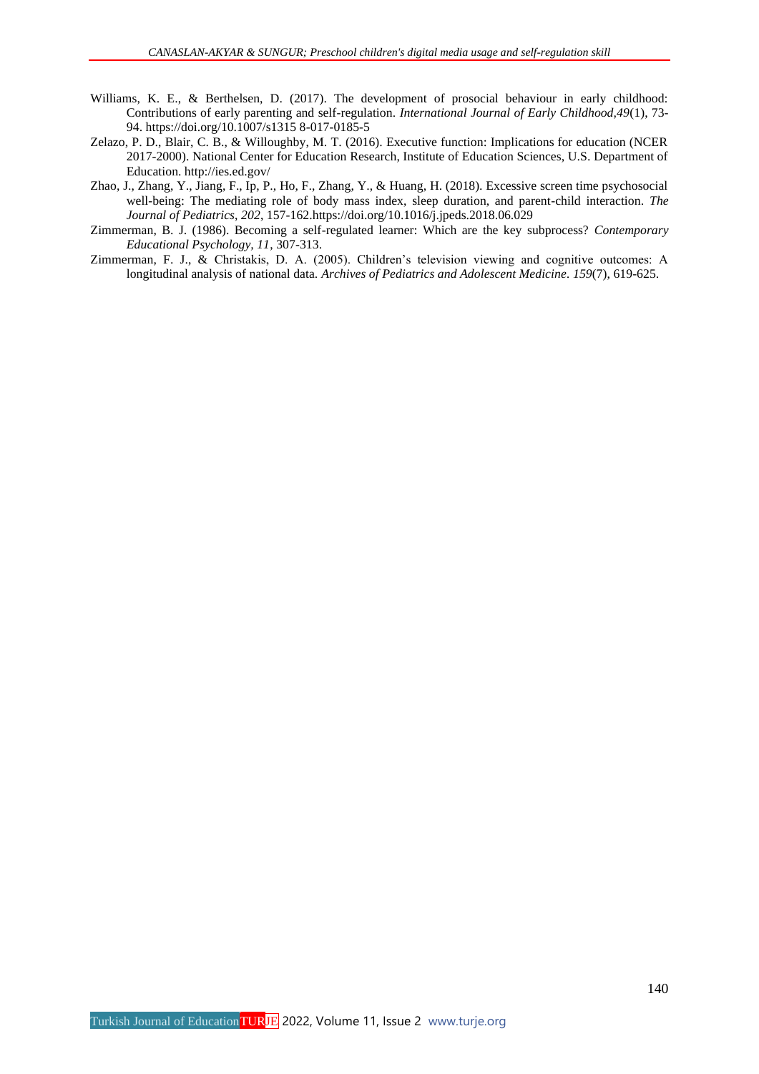- Williams, K. E., & Berthelsen, D. (2017). The development of prosocial behaviour in early childhood: Contributions of early parenting and self-regulation. *International Journal of Early Childhood,49*(1), 73- 94. https://doi.org/10.1007/s1315 8-017-0185-5
- Zelazo, P. D., Blair, C. B., & Willoughby, M. T. (2016). Executive function: Implications for education (NCER 2017-2000). National Center for Education Research, Institute of Education Sciences, U.S. Department of Education. http://ies.ed.gov/
- Zhao, J., Zhang, Y., Jiang, F., Ip, P., Ho, F., Zhang, Y., & Huang, H. (2018). Excessive screen time psychosocial well-being: The mediating role of body mass index, sleep duration, and parent-child interaction. *The Journal of Pediatrics*, *202*, 157-162.https://doi.org/10.1016/j.jpeds.2018.06.029
- Zimmerman, B. J. (1986). Becoming a self-regulated learner: Which are the key subprocess? *Contemporary Educational Psychology, 11*, 307-313.
- Zimmerman, F. J., & Christakis, D. A. (2005). Children's television viewing and cognitive outcomes: A longitudinal analysis of national data. *Archives of Pediatrics and Adolescent Medicine. 159*(7), 619-625.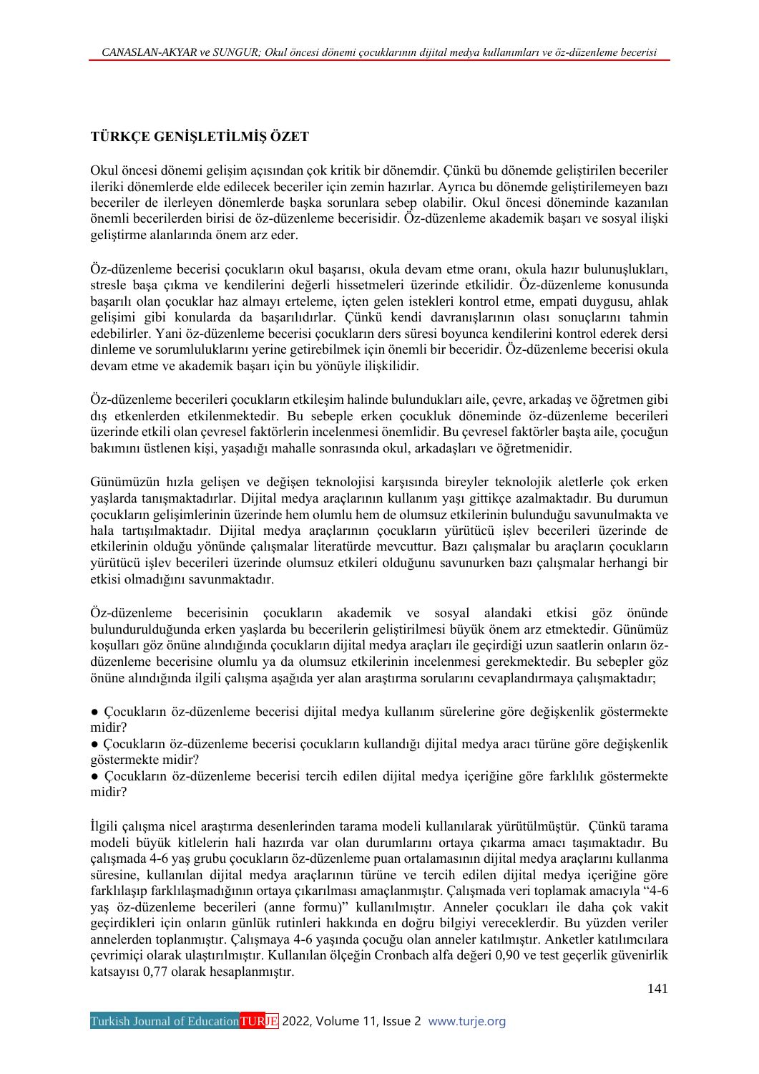## **TÜRKÇE GENİŞLETİLMİŞ ÖZET**

Okul öncesi dönemi gelişim açısından çok kritik bir dönemdir. Çünkü bu dönemde geliştirilen beceriler ileriki dönemlerde elde edilecek beceriler için zemin hazırlar. Ayrıca bu dönemde geliştirilemeyen bazı beceriler de ilerleyen dönemlerde başka sorunlara sebep olabilir. Okul öncesi döneminde kazanılan önemli becerilerden birisi de öz-düzenleme becerisidir. Öz-düzenleme akademik başarı ve sosyal ilişki geliştirme alanlarında önem arz eder.

Öz-düzenleme becerisi çocukların okul başarısı, okula devam etme oranı, okula hazır bulunuşlukları, stresle başa çıkma ve kendilerini değerli hissetmeleri üzerinde etkilidir. Öz-düzenleme konusunda başarılı olan çocuklar haz almayı erteleme, içten gelen istekleri kontrol etme, empati duygusu, ahlak gelişimi gibi konularda da başarılıdırlar. Çünkü kendi davranışlarının olası sonuçlarını tahmin edebilirler. Yani öz-düzenleme becerisi çocukların ders süresi boyunca kendilerini kontrol ederek dersi dinleme ve sorumluluklarını yerine getirebilmek için önemli bir beceridir. Öz-düzenleme becerisi okula devam etme ve akademik başarı için bu yönüyle ilişkilidir.

Öz-düzenleme becerileri çocukların etkileşim halinde bulundukları aile, çevre, arkadaş ve öğretmen gibi dış etkenlerden etkilenmektedir. Bu sebeple erken çocukluk döneminde öz-düzenleme becerileri üzerinde etkili olan çevresel faktörlerin incelenmesi önemlidir. Bu çevresel faktörler başta aile, çocuğun bakımını üstlenen kişi, yaşadığı mahalle sonrasında okul, arkadaşları ve öğretmenidir.

Günümüzün hızla gelişen ve değişen teknolojisi karşısında bireyler teknolojik aletlerle çok erken yaşlarda tanışmaktadırlar. Dijital medya araçlarının kullanım yaşı gittikçe azalmaktadır. Bu durumun çocukların gelişimlerinin üzerinde hem olumlu hem de olumsuz etkilerinin bulunduğu savunulmakta ve hala tartışılmaktadır. Dijital medya araçlarının çocukların yürütücü işlev becerileri üzerinde de etkilerinin olduğu yönünde çalışmalar literatürde mevcuttur. Bazı çalışmalar bu araçların çocukların yürütücü işlev becerileri üzerinde olumsuz etkileri olduğunu savunurken bazı çalışmalar herhangi bir etkisi olmadığını savunmaktadır.

Öz-düzenleme becerisinin çocukların akademik ve sosyal alandaki etkisi göz önünde bulundurulduğunda erken yaşlarda bu becerilerin geliştirilmesi büyük önem arz etmektedir. Günümüz koşulları göz önüne alındığında çocukların dijital medya araçları ile geçirdiği uzun saatlerin onların özdüzenleme becerisine olumlu ya da olumsuz etkilerinin incelenmesi gerekmektedir. Bu sebepler göz önüne alındığında ilgili çalışma aşağıda yer alan araştırma sorularını cevaplandırmaya çalışmaktadır;

● Çocukların öz-düzenleme becerisi dijital medya kullanım sürelerine göre değişkenlik göstermekte midir?

● Çocukların öz-düzenleme becerisi çocukların kullandığı dijital medya aracı türüne göre değişkenlik göstermekte midir?

● Çocukların öz-düzenleme becerisi tercih edilen dijital medya içeriğine göre farklılık göstermekte midir?

İlgili çalışma nicel araştırma desenlerinden tarama modeli kullanılarak yürütülmüştür. Çünkü tarama modeli büyük kitlelerin hali hazırda var olan durumlarını ortaya çıkarma amacı taşımaktadır. Bu çalışmada 4-6 yaş grubu çocukların öz-düzenleme puan ortalamasının dijital medya araçlarını kullanma süresine, kullanılan dijital medya araçlarının türüne ve tercih edilen dijital medya içeriğine göre farklılaşıp farklılaşmadığının ortaya çıkarılması amaçlanmıştır. Çalışmada veri toplamak amacıyla "4-6 yaş öz-düzenleme becerileri (anne formu)" kullanılmıştır. Anneler çocukları ile daha çok vakit geçirdikleri için onların günlük rutinleri hakkında en doğru bilgiyi vereceklerdir. Bu yüzden veriler annelerden toplanmıştır. Çalışmaya 4-6 yaşında çocuğu olan anneler katılmıştır. Anketler katılımcılara çevrimiçi olarak ulaştırılmıştır. Kullanılan ölçeğin Cronbach alfa değeri 0,90 ve test geçerlik güvenirlik katsayısı 0,77 olarak hesaplanmıştır.